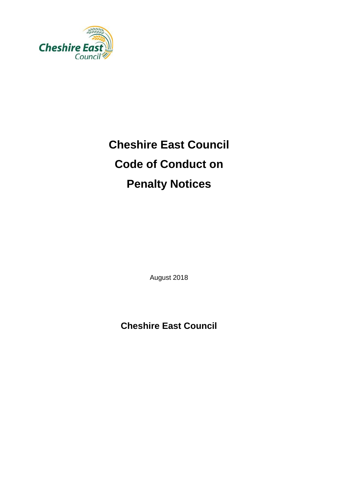

# **Cheshire East Council Code of Conduct on Penalty Notices**

August 2018

**Cheshire East Council**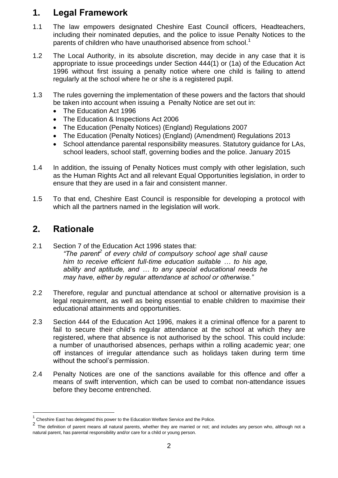#### **1. Legal Framework**

- 1.1 The law empowers designated Cheshire East Council officers, Headteachers, including their nominated deputies, and the police to issue Penalty Notices to the parents of children who have unauthorised absence from school.<sup>1</sup>
- 1.2 The Local Authority, in its absolute discretion, may decide in any case that it is appropriate to issue proceedings under Section 444(1) or (1a) of the Education Act 1996 without first issuing a penalty notice where one child is failing to attend regularly at the school where he or she is a registered pupil.
- 1.3 The rules governing the implementation of these powers and the factors that should be taken into account when issuing a Penalty Notice are set out in:
	- The Education Act 1996
	- The Education & Inspections Act 2006
	- The Education (Penalty Notices) (England) Regulations 2007
	- The Education (Penalty Notices) (England) (Amendment) Regulations 2013
	- School attendance parental responsibility measures. Statutory guidance for LAs, school leaders, school staff, governing bodies and the police. January 2015
- 1.4 In addition, the issuing of Penalty Notices must comply with other legislation, such as the Human Rights Act and all relevant Equal Opportunities legislation, in order to ensure that they are used in a fair and consistent manner.
- 1.5 To that end, Cheshire East Council is responsible for developing a protocol with which all the partners named in the legislation will work.

## **2. Rationale**

l

2.1 Section 7 of the Education Act 1996 states that: *"The parent<sup>2</sup> of every child of compulsory school age shall cause him to receive efficient full-time education suitable … to his age, ability and aptitude, and … to any special educational needs he may have, either by regular attendance at school or otherwise."*

- 2.2 Therefore, regular and punctual attendance at school or alternative provision is a legal requirement, as well as being essential to enable children to maximise their educational attainments and opportunities.
- 2.3 Section 444 of the Education Act 1996, makes it a criminal offence for a parent to fail to secure their child's regular attendance at the school at which they are registered, where that absence is not authorised by the school. This could include: a number of unauthorised absences, perhaps within a rolling academic year; one off instances of irregular attendance such as holidays taken during term time without the school's permission.
- 2.4 Penalty Notices are one of the sanctions available for this offence and offer a means of swift intervention, which can be used to combat non-attendance issues before they become entrenched.

<sup>1</sup> Cheshire East has delegated this power to the Education Welfare Service and the Police.

<sup>2</sup> The definition of parent means all natural parents, whether they are married or not; and includes any person who, although not a natural parent, has parental responsibility and/or care for a child or young person.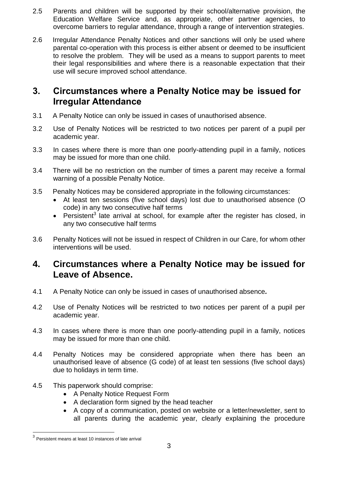- 2.5 Parents and children will be supported by their school/alternative provision, the Education Welfare Service and, as appropriate, other partner agencies, to overcome barriers to regular attendance, through a range of intervention strategies.
- 2.6 Irregular Attendance Penalty Notices and other sanctions will only be used where parental co-operation with this process is either absent or deemed to be insufficient to resolve the problem. They will be used as a means to support parents to meet their legal responsibilities and where there is a reasonable expectation that their use will secure improved school attendance.

#### **3. Circumstances where a Penalty Notice may be issued for Irregular Attendance**

- 3.1 A Penalty Notice can only be issued in cases of unauthorised absence.
- 3.2 Use of Penalty Notices will be restricted to two notices per parent of a pupil per academic year.
- 3.3 In cases where there is more than one poorly-attending pupil in a family, notices may be issued for more than one child.
- 3.4 There will be no restriction on the number of times a parent may receive a formal warning of a possible Penalty Notice.
- 3.5 Penalty Notices may be considered appropriate in the following circumstances:
	- At least ten sessions (five school days) lost due to unauthorised absence (O code) in any two consecutive half terms
	- Persistent<sup>3</sup> late arrival at school, for example after the register has closed, in any two consecutive half terms
- 3.6 Penalty Notices will not be issued in respect of Children in our Care, for whom other interventions will be used.

## **4. Circumstances where a Penalty Notice may be issued for Leave of Absence.**

- 4.1 A Penalty Notice can only be issued in cases of unauthorised absence*.*
- 4.2 Use of Penalty Notices will be restricted to two notices per parent of a pupil per academic year.
- 4.3 In cases where there is more than one poorly-attending pupil in a family, notices may be issued for more than one child.
- 4.4 Penalty Notices may be considered appropriate when there has been an unauthorised leave of absence (G code) of at least ten sessions (five school days) due to holidays in term time.
- 4.5 This paperwork should comprise:
	- A Penalty Notice Request Form
	- A declaration form signed by the head teacher
	- A copy of a communication, posted on website or a letter/newsletter, sent to all parents during the academic year, clearly explaining the procedure

l

 $3$  Persistent means at least 10 instances of late arrival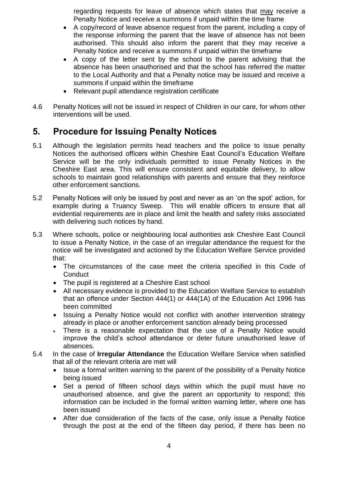regarding requests for leave of absence which states that may receive a Penalty Notice and receive a summons if unpaid within the time frame

- A copy/record of leave absence request from the parent, including a copy of the response informing the parent that the leave of absence has not been authorised. This should also inform the parent that they may receive a Penalty Notice and receive a summons if unpaid within the timeframe
- A copy of the letter sent by the school to the parent advising that the absence has been unauthorised and that the school has referred the matter to the Local Authority and that a Penalty notice may be issued and receive a summons if unpaid within the timeframe
- Relevant pupil attendance registration certificate
- 4.6 Penalty Notices will not be issued in respect of Children in our care, for whom other interventions will be used.

## **5. Procedure for Issuing Penalty Notices**

- 5.1 Although the legislation permits head teachers and the police to issue penalty Notices the authorised officers within Cheshire East Council's Education Welfare Service will be the only individuals permitted to issue Penalty Notices in the Cheshire East area. This will ensure consistent and equitable delivery, to allow schools to maintain good relationships with parents and ensure that they reinforce other enforcement sanctions.
- 5.2 Penalty Notices will only be issued by post and never as an 'on the spot' action, for example during a Truancy Sweep. This will enable officers to ensure that all evidential requirements are in place and limit the health and safety risks associated with delivering such notices by hand.
- 5.3 Where schools, police or neighbouring local authorities ask Cheshire East Council to issue a Penalty Notice, in the case of an irregular attendance the request for the notice will be investigated and actioned by the Education Welfare Service provided that:
	- The circumstances of the case meet the criteria specified in this Code of **Conduct**
	- The pupil is registered at a Cheshire East school
	- All necessary evidence is provided to the Education Welfare Service to establish that an offence under Section 444(1) or 444(1A) of the Education Act 1996 has been committed
	- Issuing a Penalty Notice would not conflict with another intervention strategy already in place or another enforcement sanction already being processed
	- There is a reasonable expectation that the use of a Penalty Notice would improve the child's school attendance or deter future unauthorised leave of absences.
- 5.4 In the case of **Irregular Attendance** the Education Welfare Service when satisfied that all of the relevant criteria are met will
	- Issue a formal written warning to the parent of the possibility of a Penalty Notice being issued
	- Set a period of fifteen school days within which the pupil must have no unauthorised absence, and give the parent an opportunity to respond; this information can be included in the formal written warning letter, where one has been issued
	- After due consideration of the facts of the case, only issue a Penalty Notice through the post at the end of the fifteen day period, if there has been no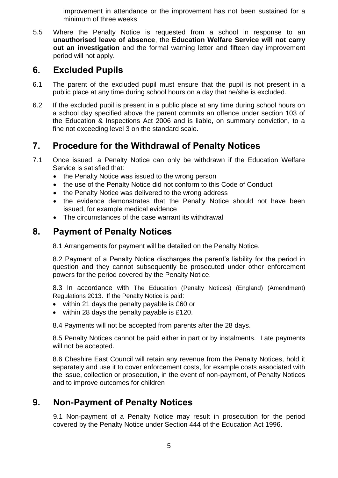improvement in attendance or the improvement has not been sustained for a minimum of three weeks

5.5 Where the Penalty Notice is requested from a school in response to an **unauthorised leave of absence**, the **Education Welfare Service will not carry out an investigation** and the formal warning letter and fifteen day improvement period will not apply.

### **6. Excluded Pupils**

- 6.1 The parent of the excluded pupil must ensure that the pupil is not present in a public place at any time during school hours on a day that he/she is excluded.
- 6.2 If the excluded pupil is present in a public place at any time during school hours on a school day specified above the parent commits an offence under section 103 of the Education & Inspections Act 2006 and is liable, on summary conviction, to a fine not exceeding level 3 on the standard scale.

# **7. Procedure for the Withdrawal of Penalty Notices**

- 7.1 Once issued, a Penalty Notice can only be withdrawn if the Education Welfare Service is satisfied that:
	- the Penalty Notice was issued to the wrong person
	- the use of the Penalty Notice did not conform to this Code of Conduct
	- the Penalty Notice was delivered to the wrong address
	- the evidence demonstrates that the Penalty Notice should not have been issued, for example medical evidence
	- The circumstances of the case warrant its withdrawal

# **8. Payment of Penalty Notices**

8.1 Arrangements for payment will be detailed on the Penalty Notice.

8.2 Payment of a Penalty Notice discharges the parent's liability for the period in question and they cannot subsequently be prosecuted under other enforcement powers for the period covered by the Penalty Notice.

8.3 In accordance with [The Education \(Penalty Notices\) \(England\) \(Amendment\)](http://email.education.gov.uk/rsps/ct/c/642/r/612793/l/27347)  [Regulations 2013.](http://email.education.gov.uk/rsps/ct/c/642/r/612793/l/27347) If the Penalty Notice is paid:

- within 21 days the penalty payable is £60 or
- $\bullet$  within 28 days the penalty payable is £120.

8.4 Payments will not be accepted from parents after the 28 days.

8.5 Penalty Notices cannot be paid either in part or by instalments. Late payments will not be accepted.

8.6 Cheshire East Council will retain any revenue from the Penalty Notices, hold it separately and use it to cover enforcement costs, for example costs associated with the issue, collection or prosecution, in the event of non-payment, of Penalty Notices and to improve outcomes for children

# **9. Non-Payment of Penalty Notices**

9.1 Non-payment of a Penalty Notice may result in prosecution for the period covered by the Penalty Notice under Section 444 of the Education Act 1996.